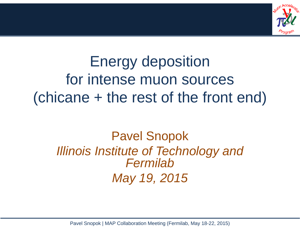

### Energy deposition for intense muon sources (chicane + the rest of the front end)

### Pavel Snopok *Illinois Institute of Technology and FermilabMay 19, 2015*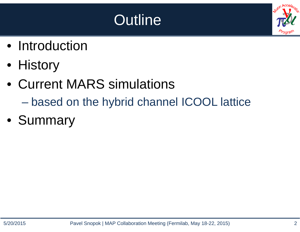### **Outline**

- Introduction
- History
- Current MARS simulations
	- $\mathcal{L}_{\mathcal{A}}$  , where  $\mathcal{L}_{\mathcal{A}}$  is the set of the set of the set of the set of the set of the set of the set of the set of the set of the set of the set of the set of the set of the set of the set of the set of the based on the hybrid channel ICOOL lattice
- Summary

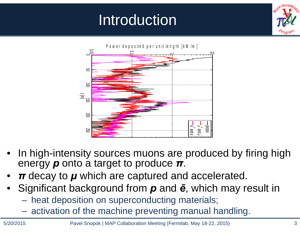### Introduction





- • In high-intensity sources muons are produced by firing high energy *p* onto a target to produce *<sup>π</sup>*.
- •*π* decay to *μ* which are captured and accelerated.
- • Significant background from *p* and *ē*, which may result in
	- heat deposition on superconducting materials;
	- –activation of the machine preventing manual handling.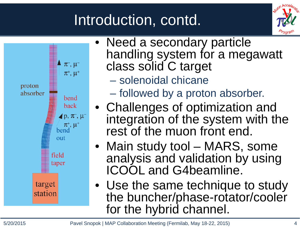### Introduction, contd.





- Need a secondary particle handling system for a megawatt class solid C target
	- solenoidal chicane
	- $\mathcal{L}_{\mathcal{A}}$ followed by a proton absorber.
- Challenges of optimization and integration of the system with the rest of the muon front end.
- Main study tool MARS, some analysis and validation by using ICOOL and G4beamline.
- Use the same technique to study the buncher/phase-rotator/cooler for the hybrid channel.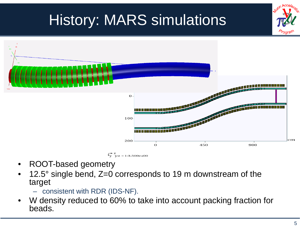## History: MARS simulations  $\overline{O}$ 100 200  $\Omega$ 450 900  $\sqrt{\frac{z}{y}}$  y:z = 1:3.500e+00

- •ROOT-based geometry
- • 12.5° single bend, Z=0 corresponds to 19 m downstream of the target
	- consistent with RDR (IDS-NF).
- • W density reduced to 60% to take into account packing fraction for beads.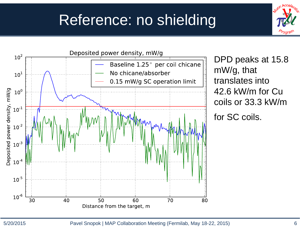### Reference: no shielding



DPD peaks at 15.8 mW/g, that translates into 42.6 kW/m for Cu coils or 33.3 kW/m

for SC coils.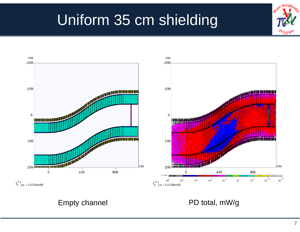### Uniform 35 cm shielding



 $\overrightarrow{V_V}$  y:z = 1:3.500e+00

### Empty channel **PD** total, mW/g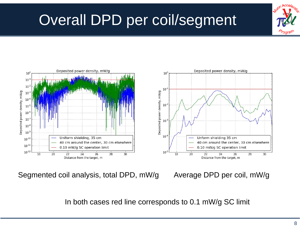### Overall DPD per coil/segment





Segmented coil analysis, total DPD, mW/g Average DPD per coil, mW/g

In both cases red line corresponds to 0.1 mW/g SC limit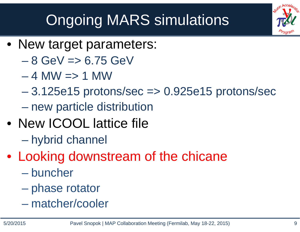# Ongoing MARS simulations

- New target parameters:
	- 8 GeV => 6.75 GeV
	- 4 MW => 1 MW
	- – 3.125e15 protons/sec => 0.925e15 protons/sec –new particle distribution
- New ICOOL lattice file
	- $\mathcal{L}_{\mathcal{A}}$  , where  $\mathcal{L}_{\mathcal{A}}$  is the set of the set of the set of the set of the set of the set of the set of the set of the set of the set of the set of the set of the set of the set of the set of the set of the hybrid channel
- Looking downstream of the chicane
	- buncher
	- $\mathcal{L}_{\mathcal{A}}$  , and the set of  $\mathcal{L}_{\mathcal{A}}$ phase rotator
	- matcher/cooler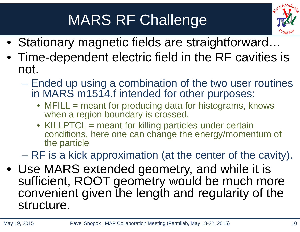### MARS RF Challenge



- Stationary magnetic fields are straightforward…
- Time-dependent electric field in the RF cavities is not.
	- Ended up using a combination of the two user routines in MARS m1514.f intended for other purposes:
		- MFILL = meant for producing data for histograms, knows when a region boundary is crossed.
		- KILLPTCL = meant for killing particles under certain conditions, here one can change the energy/momentum of the particle

RF is a kick approximation (at the center of the cavity).

• Use MARS extended geometry, and while it is sufficient, ROOT geometry would be much more convenient given the length and regularity of the structure.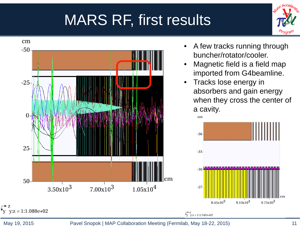### MARS RF, first results





May 19, 2015 Pavel Snopok | MAP Collaboration Meeting (Fermilab, May 18-22, 2015) 11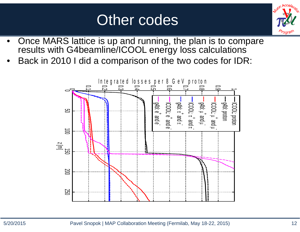### Other codes



- • Once MARS lattice is up and running, the plan is to compare results with G4beamline/ICOOL energy loss calculations
- •Back in 2010 I did a comparison of the two codes for IDR:

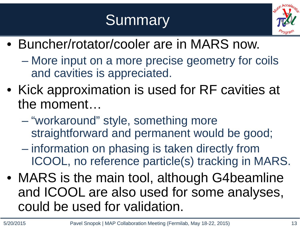### Summary<sup>®</sup>



- Buncher/rotator/cooler are in MARS now.
	- – More input on a more precise geometry for coils and cavities is appreciated.
- Kick approximation is used for RF cavities at the moment…
	- $\mathcal{L}_{\mathcal{A}}$  , where  $\mathcal{L}_{\mathcal{A}}$  is the set of the set of the set of the set of the set of the set of the set of the set of the set of the set of the set of the set of the set of the set of the set of the set of the "workaround" style, something more straightforward and permanent would be good;
	- $\mathcal{L}_{\mathcal{A}}$  , where  $\mathcal{L}_{\mathcal{A}}$  is the set of the set of the set of the set of the set of the set of the set of the set of the set of the set of the set of the set of the set of the set of the set of the set of the information on phasing is taken directly from ICOOL, no reference particle(s) tracking in MARS.
- MARS is the main tool, although G4beamline and ICOOL are also used for some analyses, could be used for validation.